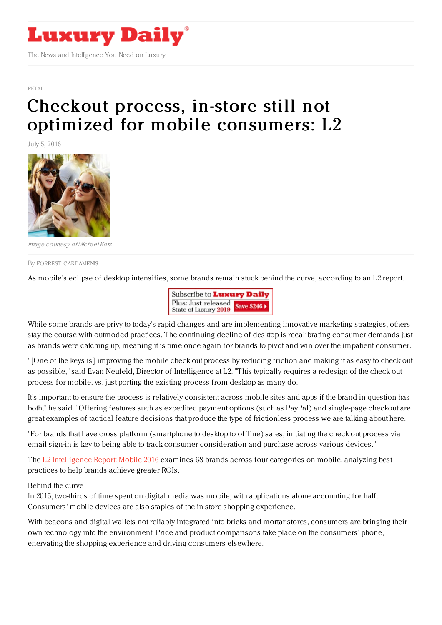

[RETAIL](https://www.luxurydaily.com/category/sectors/retail-industry-sectors/)

## Checkout process, in-store still not optimized for mobile [consumers:](https://www.luxurydaily.com/checkout-process-in-store-still-not-optimized-for-mobile-consumers-l2/) L2

July 5, 2016



Image courtesy ofMichael Kors

By FORREST [CARDAMENIS](file:///author/forrest-cardamenis)

As mobile's eclipse of desktop intensifies, some brands remain stuck behind the curve, according to an L2 report.



While some brands are privy to today's rapid changes and are implementing innovative marketing strategies, others stay the course with outmoded practices. The continuing decline of desktop is recalibrating consumer demands just as brands were catching up, meaning it is time once again for brands to pivot and win over the impatient consumer.

"[One of the keys is] improving the mobile check out process by reducing friction and making it as easy to check out as possible," said Evan Neufeld, Director of Intelligence at L2. "This typically requires a redesign of the check out process for mobile, vs. just porting the existing process from desktop as many do.

It's important to ensure the process is relatively consistent across mobile sites and apps if the brand in question has both," he said. "Offering features such as expedited payment options (such as PayPal) and single-page checkout are great examples of tactical feature decisions that produce the type of frictionless process we are talking about here.

"For brands that have cross platform (smartphone to desktop to offline) sales, initiating the check out process via email sign-in is key to being able to track consumer consideration and purchase across various devices."

The L2 [Intelligence](https://www.l2inc.com/research/mobile-2016?utm_source=email&utm_medium=email&utm_content=mobile&utm_campaign=email) Report: Mobile 2016 examines 68 brands across four categories on mobile, analyzing best practices to help brands achieve greater ROIs.

## Behind the curve

In 2015, two-thirds of time spent on digital media was mobile, with applications alone accounting for half. Consumers' mobile devices are also staples of the in-store shopping experience.

With beacons and digital wallets not reliably integrated into bricks-and-mortar stores, consumers are bringing their own technology into the environment. Price and product comparisons take place on the consumers' phone, enervating the shopping experience and driving consumers elsewhere.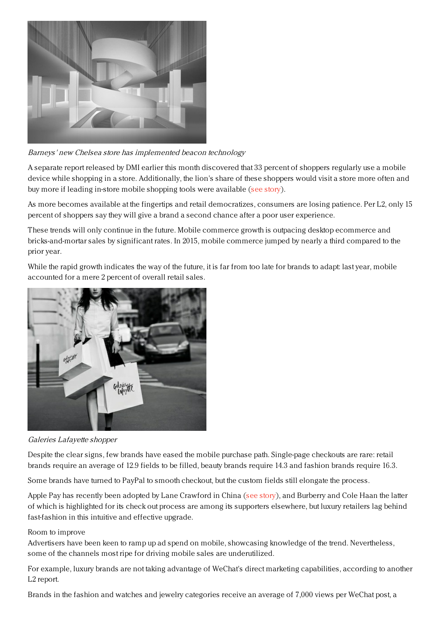

Barneys' new Chelsea store has implemented beacon technology

A separate report released by DMI earlier this month discovered that 33 percent of shoppers regularly use a mobile device while shopping in a store. Additionally, the lion's share of these shoppers would visit a store more often and buy more if leading in-store mobile shopping tools were available (see [story](https://www.luxurydaily.com/smartphone-reliant-shoppers-would-buy-more-with-in-store-mobile-tools-report/)).

As more becomes available at the fingertips and retail democratizes, consumers are losing patience. Per L2, only 15 percent of shoppers say they will give a brand a second chance after a poor user experience.

These trends will only continue in the future. Mobile commerce growth is outpacing desktop ecommerce and bricks-and-mortar sales by significant rates. In 2015, mobile commerce jumped by nearly a third compared to the prior year.

While the rapid growth indicates the way of the future, it is far from too late for brands to adapt: last year, mobile accounted for a mere 2 percent of overall retail sales.



Galeries Lafayette shopper

Despite the clear signs, few brands have eased the mobile purchase path. Single-page checkouts are rare: retail brands require an average of 12.9 fields to be filled, beauty brands require 14.3 and fashion brands require 16.3.

Some brands have turned to PayPal to smooth checkout, but the custom fields still elongate the process.

Apple Pay has recently been adopted by Lane Crawford in China (see [story](https://www.luxurydaily.com/lane-crawford-continues-connected-commerce-strategy-with-apple-pay/)), and Burberry and Cole Haan the latter of which is highlighted for its check out process are among its supporters elsewhere, but luxury retailers lag behind fast-fashion in this intuitive and effective upgrade.

## Room to improve

Advertisers have been keen to ramp up ad spend on mobile, showcasing knowledge of the trend. Nevertheless, some of the channels most ripe for driving mobile sales are underutilized.

For example, luxury brands are not taking advantage of WeChat's direct marketing capabilities, according to another L2 report.

Brands in the fashion and watches and jewelry categories receive an average of 7,000 views per WeChat post, a